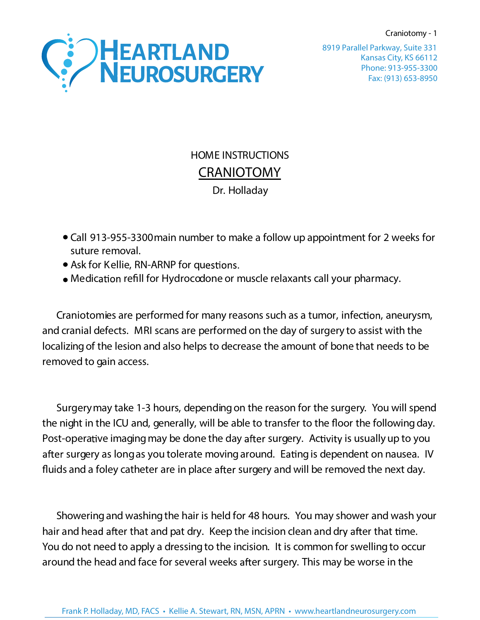Craniotomy - 1



Kansas City, KS 66112 Phone: 913-955-3300 Fax: (913) 653-8950 8919 Parallel Parkway, Suite 331

## HOME INSTRUCTIONS **CRANIOTOMY**  Dr. Holladay

- Call 913-955-3300 main number to make a follow up appointment for 2 weeks for suture removal.
- Ask for Kellie, RN-ARNP for questions.
- Medication refill for Hydrocodone or muscle relaxants call your pharmacy.

Craniotomies are performed for many reasons such as a tumor, infection, aneurysm, and cranial defects. MRI scans are performed on the day of surgery to assist with the localizingof the lesion and also helps to decrease the amount of bone that needs to be removed to gain access.

Surgerymay take 1-3 hours, dependingon the reason for the surgery. You will spend the night in the ICU and, generally, will be able to transfer to the floor the following day. Post-operative imaging may be done the day after surgery. Activity is usually up to you after surgery as long as you tolerate moving around. Eating is dependent on nausea. IV fluids and a foley catheter are in place after surgery and will be removed the next day.

Showering and washing the hair is held for 48 hours. You may shower and wash your hair and head after that and pat dry. Keep the incision clean and dry after that time. You do not need to apply a dressing to the incision. It is common for swelling to occur around the head and face for several weeks after surgery. This may be worse in the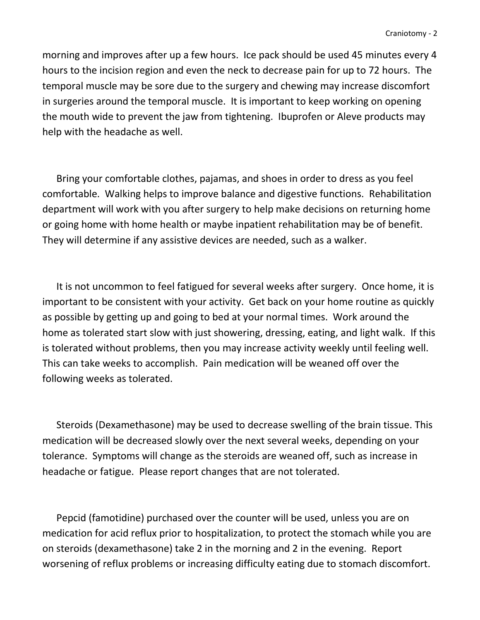morning and improves after up a few hours. Ice pack should be used 45 minutes every 4 hours to the incision region and even the neck to decrease pain for up to 72 hours. The temporal muscle may be sore due to the surgery and chewing may increase discomfort in surgeries around the temporal muscle. It is important to keep working on opening the mouth wide to prevent the jaw from tightening. Ibuprofen or Aleve products may help with the headache as well.

Bring your comfortable clothes, pajamas, and shoes in order to dress as you feel comfortable. Walking helps to improve balance and digestive functions. Rehabilitation department will work with you after surgery to help make decisions on returning home or going home with home health or maybe inpatient rehabilitation may be of benefit. They will determine if any assistive devices are needed, such as a walker.

It is not uncommon to feel fatigued for several weeks after surgery. Once home, it is important to be consistent with your activity. Get back on your home routine as quickly as possible by getting up and going to bed at your normal times. Work around the home as tolerated start slow with just showering, dressing, eating, and light walk. If this is tolerated without problems, then you may increase activity weekly until feeling well. This can take weeks to accomplish. Pain medication will be weaned off over the following weeks as tolerated.

Steroids (Dexamethasone) may be used to decrease swelling of the brain tissue. This medication will be decreased slowly over the next several weeks, depending on your tolerance. Symptoms will change as the steroids are weaned off, such as increase in headache or fatigue. Please report changes that are not tolerated.

Pepcid (famotidine) purchased over the counter will be used, unless you are on medication for acid reflux prior to hospitalization, to protect the stomach while you are on steroids (dexamethasone) take 2 in the morning and 2 in the evening. Report worsening of reflux problems or increasing difficulty eating due to stomach discomfort.